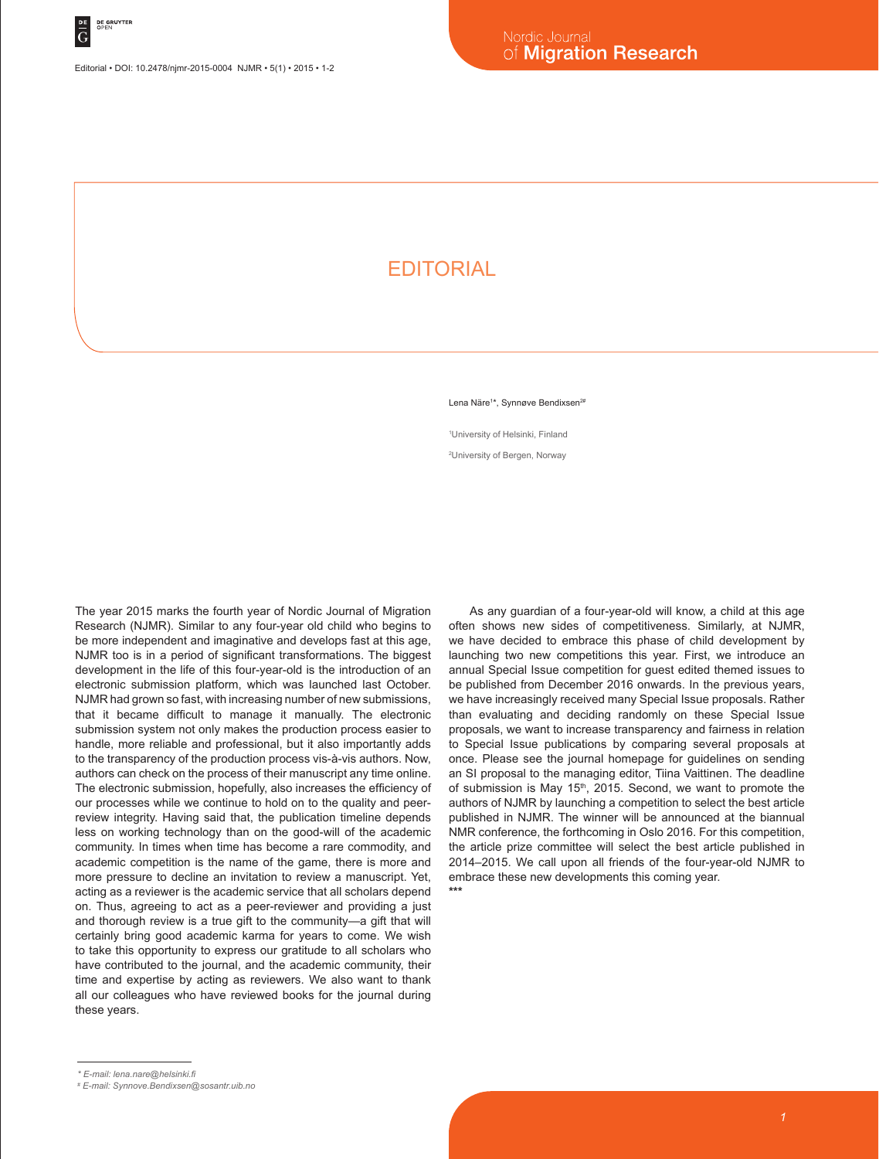## **EDITORIAL**

Lena Näre<sup>1\*</sup>, Synnøve Bendixsen<sup>2#</sup>

1 University of Helsinki, Finland 2 University of Bergen, Norway

The year 2015 marks the fourth year of Nordic Journal of Migration Research (NJMR). Similar to any four-year old child who begins to be more independent and imaginative and develops fast at this age, NJMR too is in a period of significant transformations. The biggest development in the life of this four-year-old is the introduction of an electronic submission platform, which was launched last October. NJMR had grown so fast, with increasing number of new submissions, that it became difficult to manage it manually. The electronic submission system not only makes the production process easier to handle, more reliable and professional, but it also importantly adds to the transparency of the production process vis-à-vis authors. Now, authors can check on the process of their manuscript any time online. The electronic submission, hopefully, also increases the efficiency of our processes while we continue to hold on to the quality and peerreview integrity. Having said that, the publication timeline depends less on working technology than on the good-will of the academic community. In times when time has become a rare commodity, and academic competition is the name of the game, there is more and more pressure to decline an invitation to review a manuscript. Yet, acting as a reviewer is the academic service that all scholars depend on. Thus, agreeing to act as a peer-reviewer and providing a just and thorough review is a true gift to the community—a gift that will certainly bring good academic karma for years to come. We wish to take this opportunity to express our gratitude to all scholars who have contributed to the journal, and the academic community, their time and expertise by acting as reviewers. We also want to thank all our colleagues who have reviewed books for the journal during these years.

As any guardian of a four-year-old will know, a child at this age often shows new sides of competitiveness. Similarly, at NJMR, we have decided to embrace this phase of child development by launching two new competitions this year. First, we introduce an annual Special Issue competition for guest edited themed issues to be published from December 2016 onwards. In the previous years, we have increasingly received many Special Issue proposals. Rather than evaluating and deciding randomly on these Special Issue proposals, we want to increase transparency and fairness in relation to Special Issue publications by comparing several proposals at once. Please see the journal homepage for guidelines on sending an SI proposal to the managing editor, Tiina Vaittinen. The deadline of submission is May 15<sup>th</sup>, 2015. Second, we want to promote the authors of NJMR by launching a competition to select the best article published in NJMR. The winner will be announced at the biannual NMR conference, the forthcoming in Oslo 2016. For this competition, the article prize committee will select the best article published in 2014–2015. We call upon all friends of the four-year-old NJMR to embrace these new developments this coming year. **\*\*\***

*<sup>\*</sup> E-mail: lena.nare@helsinki.fi*

*<sup>#</sup> E-mail: Synnove.Bendixsen@sosantr.uib.no*